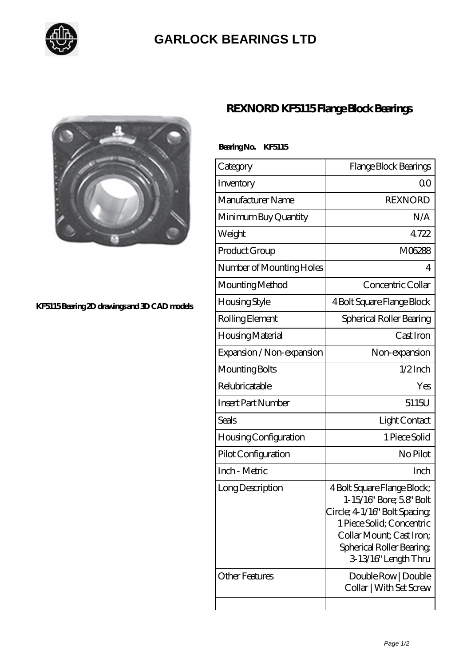

# **[GARLOCK BEARINGS LTD](https://m.letterstopriests.com)**



#### **[KF5115 Bearing 2D drawings and 3D CAD models](https://m.letterstopriests.com/pic-188791.html)**

## **[REXNORD KF5115 Flange Block Bearings](https://m.letterstopriests.com/aI-188791-rexnord-kf5115-flange-block-bearings.html)**

### **Bearing No. KF5115**

| Category                     | Flange Block Bearings                                                                                                                                                                                |
|------------------------------|------------------------------------------------------------------------------------------------------------------------------------------------------------------------------------------------------|
| Inventory                    | 0 <sup>0</sup>                                                                                                                                                                                       |
| Manufacturer Name            | <b>REXNORD</b>                                                                                                                                                                                       |
| Minimum Buy Quantity         | N/A                                                                                                                                                                                                  |
| Weight                       | 4722                                                                                                                                                                                                 |
| Product Group                | M06288                                                                                                                                                                                               |
| Number of Mounting Holes     | 4                                                                                                                                                                                                    |
| Mounting Method              | Concentric Collar                                                                                                                                                                                    |
| Housing Style                | 4 Bolt Square Flange Block                                                                                                                                                                           |
| Rolling Element              | Spherical Roller Bearing                                                                                                                                                                             |
| Housing Material             | Cast Iron                                                                                                                                                                                            |
| Expansion / Non-expansion    | Non-expansion                                                                                                                                                                                        |
| Mounting Bolts               | $1/2$ Inch                                                                                                                                                                                           |
| Relubricatable               | Yes                                                                                                                                                                                                  |
| <b>Insert Part Number</b>    | 5115U                                                                                                                                                                                                |
| <b>Seals</b>                 | Light Contact                                                                                                                                                                                        |
| <b>Housing Configuration</b> | 1 Piece Solid                                                                                                                                                                                        |
| Pilot Configuration          | No Pilot                                                                                                                                                                                             |
| Inch - Metric                | Inch                                                                                                                                                                                                 |
| Long Description             | 4 Bolt Square Flange Block;<br>1-15/16" Bore; 5.8" Bolt<br>Circle; 4-1/16" Bolt Spacing<br>1 Piece Solid; Concentric<br>Collar Mount; Cast Iron;<br>Spherical Roller Bearing<br>3-13/16" Length Thru |
| <b>Other Features</b>        | Double Row   Double<br>Collar   With Set Screw                                                                                                                                                       |
|                              |                                                                                                                                                                                                      |